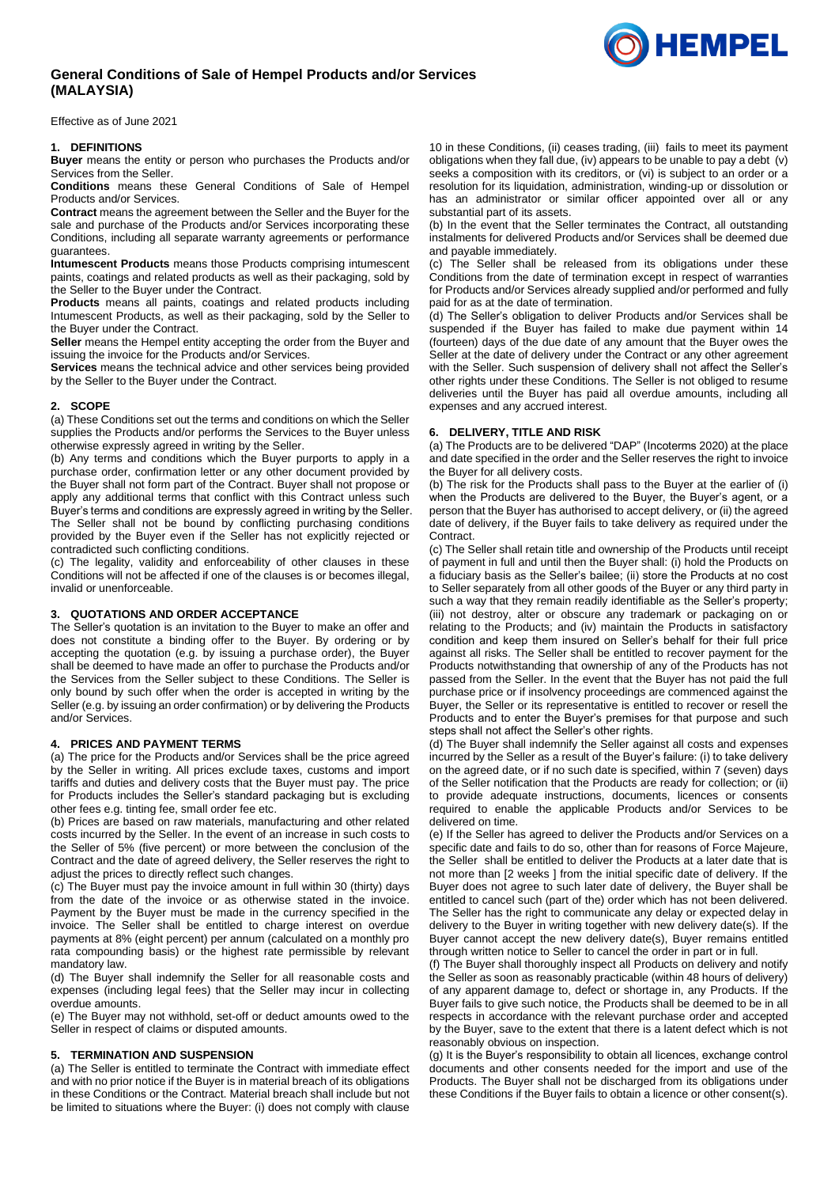# **General Conditions of Sale of Hempel Products and/or Services (MALAYSIA)**

Effective as of June 2021

### **1. DEFINITIONS**

**Buyer** means the entity or person who purchases the Products and/or Services from the Seller.

**Conditions** means these General Conditions of Sale of Hempel Products and/or Services.

**Contract** means the agreement between the Seller and the Buyer for the sale and purchase of the Products and/or Services incorporating these Conditions, including all separate warranty agreements or performance guarantees.

**Intumescent Products** means those Products comprising intumescent paints, coatings and related products as well as their packaging, sold by the Seller to the Buyer under the Contract.

**Products** means all paints, coatings and related products including Intumescent Products, as well as their packaging, sold by the Seller to the Buyer under the Contract.

**Seller** means the Hempel entity accepting the order from the Buyer and issuing the invoice for the Products and/or Services.

**Services** means the technical advice and other services being provided by the Seller to the Buyer under the Contract.

### **2. SCOPE**

(a) These Conditions set out the terms and conditions on which the Seller supplies the Products and/or performs the Services to the Buyer unless otherwise expressly agreed in writing by the Seller.

(b) Any terms and conditions which the Buyer purports to apply in a purchase order, confirmation letter or any other document provided by the Buyer shall not form part of the Contract. Buyer shall not propose or apply any additional terms that conflict with this Contract unless such Buyer's terms and conditions are expressly agreed in writing by the Seller. The Seller shall not be bound by conflicting purchasing conditions provided by the Buyer even if the Seller has not explicitly rejected or contradicted such conflicting conditions.

(c) The legality, validity and enforceability of other clauses in these Conditions will not be affected if one of the clauses is or becomes illegal, invalid or unenforceable.

# **3. QUOTATIONS AND ORDER ACCEPTANCE**

The Seller's quotation is an invitation to the Buyer to make an offer and does not constitute a binding offer to the Buyer. By ordering or by accepting the quotation (e.g. by issuing a purchase order), the Buyer shall be deemed to have made an offer to purchase the Products and/or the Services from the Seller subject to these Conditions. The Seller is only bound by such offer when the order is accepted in writing by the Seller (e.g. by issuing an order confirmation) or by delivering the Products and/or Services.

### **4. PRICES AND PAYMENT TERMS**

(a) The price for the Products and/or Services shall be the price agreed by the Seller in writing. All prices exclude taxes, customs and import tariffs and duties and delivery costs that the Buyer must pay. The price for Products includes the Seller's standard packaging but is excluding other fees e.g. tinting fee, small order fee etc.

(b) Prices are based on raw materials, manufacturing and other related costs incurred by the Seller. In the event of an increase in such costs to the Seller of 5% (five percent) or more between the conclusion of the Contract and the date of agreed delivery, the Seller reserves the right to adjust the prices to directly reflect such changes.

(c) The Buyer must pay the invoice amount in full within 30 (thirty) days from the date of the invoice or as otherwise stated in the invoice. Payment by the Buyer must be made in the currency specified in the invoice. The Seller shall be entitled to charge interest on overdue payments at 8% (eight percent) per annum (calculated on a monthly pro rata compounding basis) or the highest rate permissible by relevant mandatory law.

(d) The Buyer shall indemnify the Seller for all reasonable costs and expenses (including legal fees) that the Seller may incur in collecting overdue amounts.

(e) The Buyer may not withhold, set-off or deduct amounts owed to the Seller in respect of claims or disputed amounts.

#### **5. TERMINATION AND SUSPENSION**

(a) The Seller is entitled to terminate the Contract with immediate effect and with no prior notice if the Buyer is in material breach of its obligations in these Conditions or the Contract. Material breach shall include but not be limited to situations where the Buyer: (i) does not comply with clause

[10](#page-1-0) in these Conditions, (ii) ceases trading, (iii) fails to meet its payment obligations when they fall due, (iv) appears to be unable to pay a debt (v) seeks a composition with its creditors, or (vi) is subject to an order or a resolution for its liquidation, administration, winding-up or dissolution or has an administrator or similar officer appointed over all or any substantial part of its assets.

(b) In the event that the Seller terminates the Contract, all outstanding instalments for delivered Products and/or Services shall be deemed due and payable immediately.

(c) The Seller shall be released from its obligations under these Conditions from the date of termination except in respect of warranties for Products and/or Services already supplied and/or performed and fully paid for as at the date of termination.

(d) The Seller's obligation to deliver Products and/or Services shall be suspended if the Buyer has failed to make due payment within 14 (fourteen) days of the due date of any amount that the Buyer owes the Seller at the date of delivery under the Contract or any other agreement with the Seller. Such suspension of delivery shall not affect the Seller's other rights under these Conditions. The Seller is not obliged to resume deliveries until the Buyer has paid all overdue amounts, including all expenses and any accrued interest.

### **6. DELIVERY, TITLE AND RISK**

(a) The Products are to be delivered "DAP" (Incoterms 2020) at the place and date specified in the order and the Seller reserves the right to invoice the Buyer for all delivery costs.

(b) The risk for the Products shall pass to the Buyer at the earlier of (i) when the Products are delivered to the Buyer, the Buyer's agent, or a person that the Buyer has authorised to accept delivery, or (ii) the agreed date of delivery, if the Buyer fails to take delivery as required under the **Contract.** 

(c) The Seller shall retain title and ownership of the Products until receipt of payment in full and until then the Buyer shall: (i) hold the Products on a fiduciary basis as the Seller's bailee; (ii) store the Products at no cost to Seller separately from all other goods of the Buyer or any third party in such a way that they remain readily identifiable as the Seller's property; (iii) not destroy, alter or obscure any trademark or packaging on or relating to the Products; and (iv) maintain the Products in satisfactory condition and keep them insured on Seller's behalf for their full price against all risks. The Seller shall be entitled to recover payment for the Products notwithstanding that ownership of any of the Products has not passed from the Seller. In the event that the Buyer has not paid the full purchase price or if insolvency proceedings are commenced against the Buyer, the Seller or its representative is entitled to recover or resell the Products and to enter the Buyer's premises for that purpose and such steps shall not affect the Seller's other rights.

(d) The Buyer shall indemnify the Seller against all costs and expenses incurred by the Seller as a result of the Buyer's failure: (i) to take delivery on the agreed date, or if no such date is specified, within 7 (seven) days of the Seller notification that the Products are ready for collection; or (ii) to provide adequate instructions, documents, licences or consents required to enable the applicable Products and/or Services to be delivered on time.

(e) If the Seller has agreed to deliver the Products and/or Services on a specific date and fails to do so, other than for reasons of Force Majeure, the Seller shall be entitled to deliver the Products at a later date that is not more than [2 weeks ] from the initial specific date of delivery. If the Buyer does not agree to such later date of delivery, the Buyer shall be entitled to cancel such (part of the) order which has not been delivered. The Seller has the right to communicate any delay or expected delay in delivery to the Buyer in writing together with new delivery date(s). If the Buyer cannot accept the new delivery date(s), Buyer remains entitled through written notice to Seller to cancel the order in part or in full.

(f) The Buyer shall thoroughly inspect all Products on delivery and notify the Seller as soon as reasonably practicable (within 48 hours of delivery) of any apparent damage to, defect or shortage in, any Products. If the Buyer fails to give such notice, the Products shall be deemed to be in all respects in accordance with the relevant purchase order and accepted by the Buyer, save to the extent that there is a latent defect which is not reasonably obvious on inspection.

(g) It is the Buyer's responsibility to obtain all licences, exchange control documents and other consents needed for the import and use of the Products. The Buyer shall not be discharged from its obligations under these Conditions if the Buyer fails to obtain a licence or other consent(s).

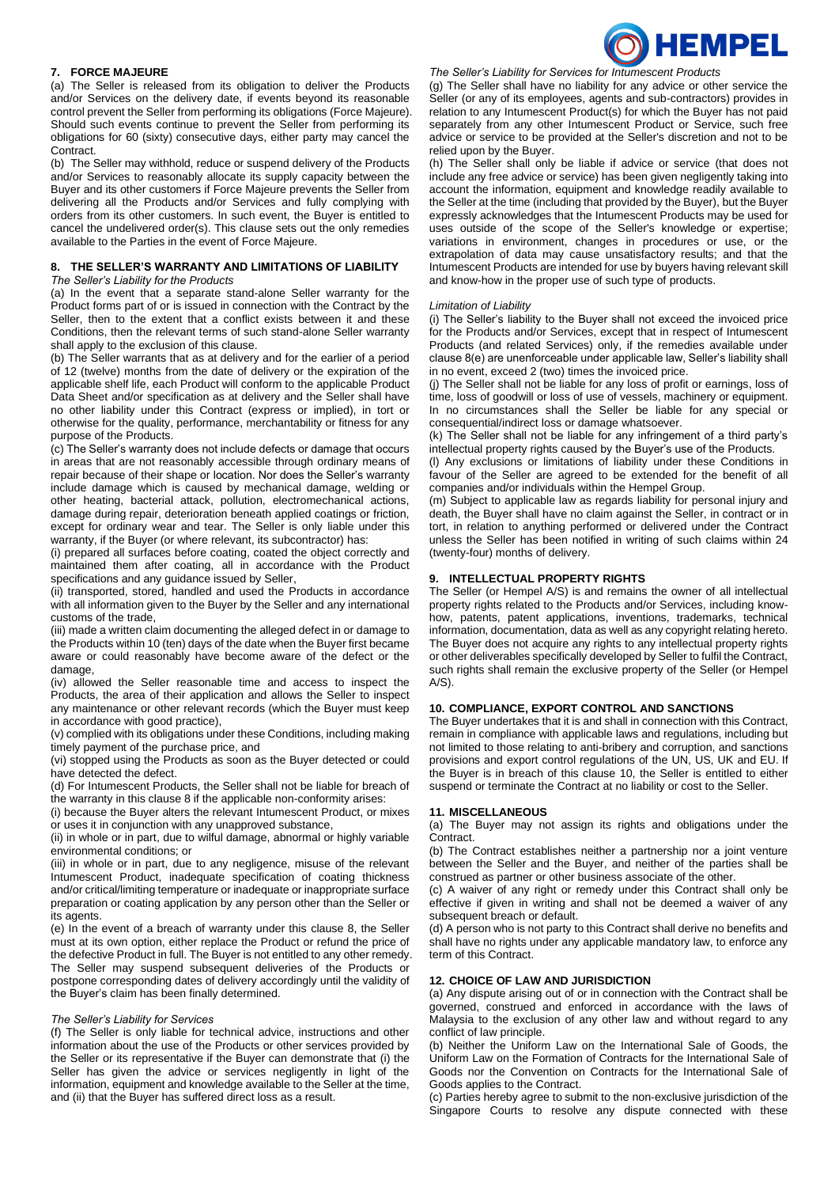

### **7. FORCE MAJEURE**

(a) The Seller is released from its obligation to deliver the Products and/or Services on the delivery date, if events beyond its reasonable control prevent the Seller from performing its obligations (Force Majeure). Should such events continue to prevent the Seller from performing its obligations for 60 (sixty) consecutive days, either party may cancel the Contract.

(b) The Seller may withhold, reduce or suspend delivery of the Products and/or Services to reasonably allocate its supply capacity between the Buyer and its other customers if Force Majeure prevents the Seller from delivering all the Products and/or Services and fully complying with orders from its other customers. In such event, the Buyer is entitled to cancel the undelivered order(s). This clause sets out the only remedies available to the Parties in the event of Force Majeure.

# **8. THE SELLER'S WARRANTY AND LIMITATIONS OF LIABILITY**

*The Seller's Liability for the Products*

(a) In the event that a separate stand-alone Seller warranty for the Product forms part of or is issued in connection with the Contract by the Seller, then to the extent that a conflict exists between it and these Conditions, then the relevant terms of such stand-alone Seller warranty shall apply to the exclusion of this clause.

(b) The Seller warrants that as at delivery and for the earlier of a period of 12 (twelve) months from the date of delivery or the expiration of the applicable shelf life, each Product will conform to the applicable Product Data Sheet and/or specification as at delivery and the Seller shall have no other liability under this Contract (express or implied), in tort or otherwise for the quality, performance, merchantability or fitness for any purpose of the Products.

(c) The Seller's warranty does not include defects or damage that occurs in areas that are not reasonably accessible through ordinary means of repair because of their shape or location. Nor does the Seller's warranty include damage which is caused by mechanical damage, welding or other heating, bacterial attack, pollution, electromechanical actions, damage during repair, deterioration beneath applied coatings or friction, except for ordinary wear and tear. The Seller is only liable under this warranty, if the Buyer (or where relevant, its subcontractor) has:

(i) prepared all surfaces before coating, coated the object correctly and maintained them after coating, all in accordance with the Product specifications and any guidance issued by Seller,

(ii) transported, stored, handled and used the Products in accordance with all information given to the Buyer by the Seller and any international customs of the trade,

(iii) made a written claim documenting the alleged defect in or damage to the Products within 10 (ten) days of the date when the Buyer first became aware or could reasonably have become aware of the defect or the damage,

(iv) allowed the Seller reasonable time and access to inspect the Products, the area of their application and allows the Seller to inspect any maintenance or other relevant records (which the Buyer must keep in accordance with good practice),

(v) complied with its obligations under these Conditions, including making timely payment of the purchase price, and

(vi) stopped using the Products as soon as the Buyer detected or could have detected the defect.

(d) For Intumescent Products, the Seller shall not be liable for breach of the warranty in this clause 8 if the applicable non-conformity arises:

(i) because the Buyer alters the relevant Intumescent Product, or mixes

or uses it in conjunction with any unapproved substance, (ii) in whole or in part, due to wilful damage, abnormal or highly variable environmental conditions; or

(iii) in whole or in part, due to any negligence, misuse of the relevant Intumescent Product, inadequate specification of coating thickness and/or critical/limiting temperature or inadequate or inappropriate surface preparation or coating application by any person other than the Seller or its agents.

(e) In the event of a breach of warranty under this clause 8, the Seller must at its own option, either replace the Product or refund the price of the defective Product in full. The Buyer is not entitled to any other remedy. The Seller may suspend subsequent deliveries of the Products or postpone corresponding dates of delivery accordingly until the validity of the Buyer's claim has been finally determined.

### *The Seller's Liability for Services*

(f) The Seller is only liable for technical advice, instructions and other information about the use of the Products or other services provided by the Seller or its representative if the Buyer can demonstrate that (i) the Seller has given the advice or services negligently in light of the information, equipment and knowledge available to the Seller at the time, and (ii) that the Buyer has suffered direct loss as a result.

*The Seller's Liability for Services for Intumescent Products*

(g) The Seller shall have no liability for any advice or other service the Seller (or any of its employees, agents and sub-contractors) provides in relation to any Intumescent Product(s) for which the Buyer has not paid separately from any other Intumescent Product or Service, such free advice or service to be provided at the Seller's discretion and not to be relied upon by the Buyer.

(h) The Seller shall only be liable if advice or service (that does not include any free advice or service) has been given negligently taking into account the information, equipment and knowledge readily available to the Seller at the time (including that provided by the Buyer), but the Buyer expressly acknowledges that the Intumescent Products may be used for uses outside of the scope of the Seller's knowledge or expertise; variations in environment, changes in procedures or use, or the extrapolation of data may cause unsatisfactory results; and that the Intumescent Products are intended for use by buyers having relevant skill and know-how in the proper use of such type of products.

### *Limitation of Liability*

(i) The Seller's liability to the Buyer shall not exceed the invoiced price for the Products and/or Services, except that in respect of Intumescent Products (and related Services) only, if the remedies available under clause 8(e) are unenforceable under applicable law, Seller's liability shall in no event, exceed 2 (two) times the invoiced price.

(j) The Seller shall not be liable for any loss of profit or earnings, loss of time, loss of goodwill or loss of use of vessels, machinery or equipment. In no circumstances shall the Seller be liable for any special or consequential/indirect loss or damage whatsoever.

(k) The Seller shall not be liable for any infringement of a third party's intellectual property rights caused by the Buyer's use of the Products.

(l) Any exclusions or limitations of liability under these Conditions in favour of the Seller are agreed to be extended for the benefit of all companies and/or individuals within the Hempel Group.

(m) Subject to applicable law as regards liability for personal injury and death, the Buyer shall have no claim against the Seller, in contract or in tort, in relation to anything performed or delivered under the Contract unless the Seller has been notified in writing of such claims within 24 (twenty-four) months of delivery.

## **9. INTELLECTUAL PROPERTY RIGHTS**

The Seller (or Hempel A/S) is and remains the owner of all intellectual property rights related to the Products and/or Services, including knowhow, patents, patent applications, inventions, trademarks, technical information, documentation, data as well as any copyright relating hereto. The Buyer does not acquire any rights to any intellectual property rights or other deliverables specifically developed by Seller to fulfil the Contract, such rights shall remain the exclusive property of the Seller (or Hempel  $A/S$ ).

## <span id="page-1-0"></span>**10. COMPLIANCE, EXPORT CONTROL AND SANCTIONS**

The Buyer undertakes that it is and shall in connection with this Contract, remain in compliance with applicable laws and regulations, including but not limited to those relating to anti-bribery and corruption, and sanctions provisions and export control regulations of the UN, US, UK and EU. If the Buyer is in breach of this clause 10, the Seller is entitled to either suspend or terminate the Contract at no liability or cost to the Seller.

# **11. MISCELLANEOUS**

(a) The Buyer may not assign its rights and obligations under the Contract.

(b) The Contract establishes neither a partnership nor a joint venture between the Seller and the Buyer, and neither of the parties shall be construed as partner or other business associate of the other.

(c) A waiver of any right or remedy under this Contract shall only be effective if given in writing and shall not be deemed a waiver of any subsequent breach or default.

(d) A person who is not party to this Contract shall derive no benefits and shall have no rights under any applicable mandatory law, to enforce any term of this Contract.

# **12. CHOICE OF LAW AND JURISDICTION**

(a) Any dispute arising out of or in connection with the Contract shall be governed, construed and enforced in accordance with the laws of Malaysia to the exclusion of any other law and without regard to any conflict of law principle.

(b) Neither the Uniform Law on the International Sale of Goods, the Uniform Law on the Formation of Contracts for the International Sale of Goods nor the Convention on Contracts for the International Sale of Goods applies to the Contract.

(c) Parties hereby agree to submit to the non-exclusive jurisdiction of the Singapore Courts to resolve any dispute connected with these